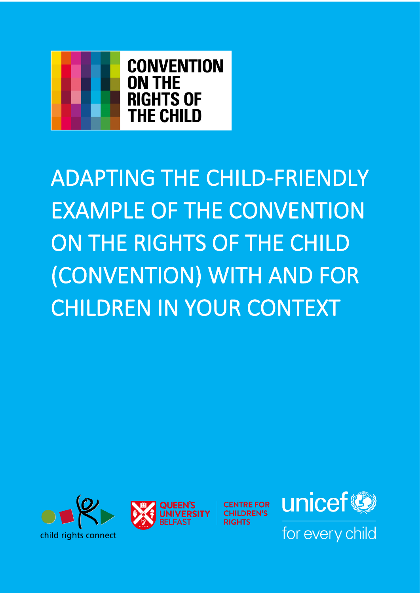

ADAPTING THE CHILD-FRIENDLY EXAMPLE OF THE CONVENTION ON THE RIGHTS OF THE CHILD (CONVENTION) WITH AND FOR CHILDREN IN YOUR CONTEXT





**CENTRE FOR CHILDREN'S RIGHTS** 

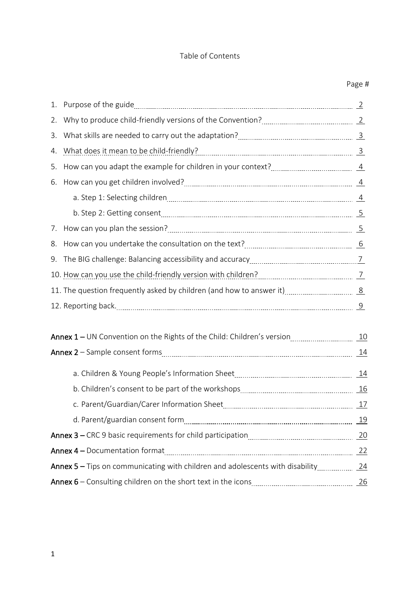# Table of Contents

| 1. |                                                                                                                                |  |  |  |  |
|----|--------------------------------------------------------------------------------------------------------------------------------|--|--|--|--|
| 2. |                                                                                                                                |  |  |  |  |
| 3. |                                                                                                                                |  |  |  |  |
| 4. |                                                                                                                                |  |  |  |  |
| 5. |                                                                                                                                |  |  |  |  |
| 6. |                                                                                                                                |  |  |  |  |
|    |                                                                                                                                |  |  |  |  |
|    |                                                                                                                                |  |  |  |  |
| 7. |                                                                                                                                |  |  |  |  |
| 8. |                                                                                                                                |  |  |  |  |
| 9. |                                                                                                                                |  |  |  |  |
|    | 10. How can you use the child-friendly version with children?<br>10. How can you use the child-friendly version with children? |  |  |  |  |
|    |                                                                                                                                |  |  |  |  |
|    |                                                                                                                                |  |  |  |  |
|    |                                                                                                                                |  |  |  |  |
|    |                                                                                                                                |  |  |  |  |
|    |                                                                                                                                |  |  |  |  |
|    |                                                                                                                                |  |  |  |  |
|    |                                                                                                                                |  |  |  |  |
|    |                                                                                                                                |  |  |  |  |
|    |                                                                                                                                |  |  |  |  |
|    |                                                                                                                                |  |  |  |  |
|    |                                                                                                                                |  |  |  |  |
|    | Annex 5 - Tips on communicating with children and adolescents with disability 24                                               |  |  |  |  |
|    |                                                                                                                                |  |  |  |  |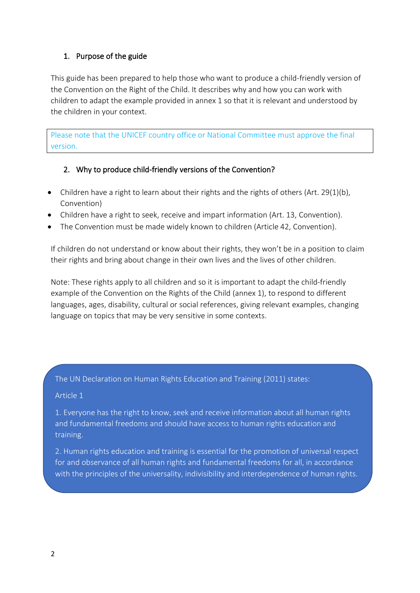## 1. Purpose of the guide

This guide has been prepared to help those who want to produce a child-friendly version of the Convention on the Right of the Child. It describes why and how you can work with children to adapt the example provided in annex 1 so that it is relevant and understood by the children in your context.

Please note that the UNICEF country office or National Committee must approve the final version.

## 2. Why to produce child-friendly versions of the Convention?

- Children have a right to learn about their rights and the rights of others (Art. 29(1)(b), Convention)
- Children have a right to seek, receive and impart information (Art. 13, Convention).
- The Convention must be made widely known to children (Article 42, Convention).

If children do not understand or know about their rights, they won't be in a position to claim their rights and bring about change in their own lives and the lives of other children.

Note: These rights apply to all children and so it is important to adapt the child-friendly example of the Convention on the Rights of the Child (annex 1), to respond to different languages, ages, disability, cultural or social references, giving relevant examples, changing language on topics that may be very sensitive in some contexts.

#### The UN Declaration on Human Rights Education and Training (2011) states:

#### Article 1

1. Everyone has the right to know, seek and receive information about all human rights and fundamental freedoms and should have access to human rights education and training.

2. Human rights education and training is essential for the promotion of universal respect for and observance of all human rights and fundamental freedoms for all, in accordance with the principles of the universality, indivisibility and interdependence of human rights.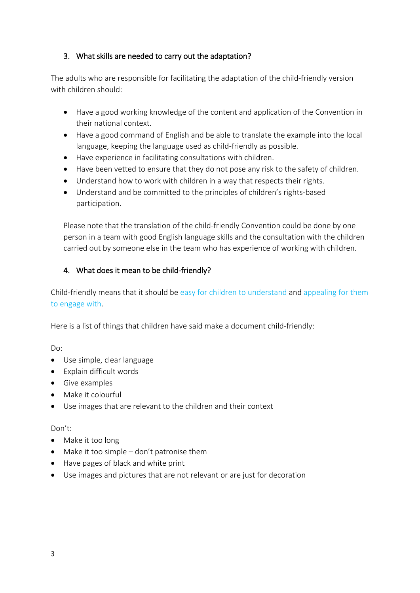## 3. What skills are needed to carry out the adaptation?

The adults who are responsible for facilitating the adaptation of the child-friendly version with children should:

- Have a good working knowledge of the content and application of the Convention in their national context.
- Have a good command of English and be able to translate the example into the local language, keeping the language used as child-friendly as possible.
- Have experience in facilitating consultations with children.
- Have been vetted to ensure that they do not pose any risk to the safety of children.
- Understand how to work with children in a way that respects their rights.
- Understand and be committed to the principles of children's rights-based participation.

Please note that the translation of the child-friendly Convention could be done by one person in a team with good English language skills and the consultation with the children carried out by someone else in the team who has experience of working with children.

# 4. What does it mean to be child-friendly?

Child-friendly means that it should be easy for children to understand and appealing for them to engage with.

Here is a list of things that children have said make a document child-friendly:

Do:

- Use simple, clear language
- Explain difficult words
- Give examples
- Make it colourful
- Use images that are relevant to the children and their context

#### Don't:

- Make it too long
- Make it too simple don't patronise them
- Have pages of black and white print
- Use images and pictures that are not relevant or are just for decoration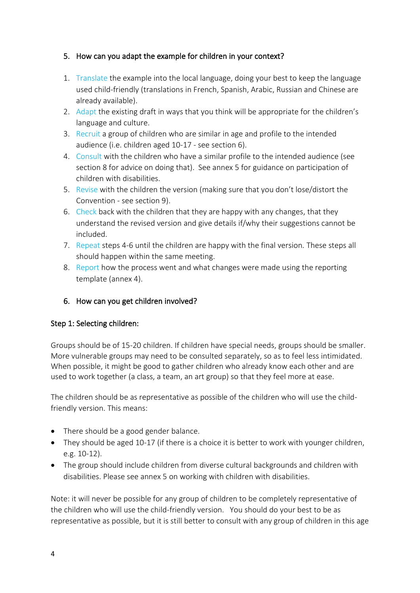## 5. How can you adapt the example for children in your context?

- 1. Translate the example into the local language, doing your best to keep the language used child-friendly (translations in French, Spanish, Arabic, Russian and Chinese are already available).
- 2. Adapt the existing draft in ways that you think will be appropriate for the children's language and culture.
- 3. Recruit a group of children who are similar in age and profile to the intended audience (i.e. children aged 10-17 - see section 6).
- 4. Consult with the children who have a similar profile to the intended audience (see section 8 for advice on doing that). See annex 5 for guidance on participation of children with disabilities.
- 5. Revise with the children the version (making sure that you don't lose/distort the Convention - see section 9).
- 6. Check back with the children that they are happy with any changes, that they understand the revised version and give details if/why their suggestions cannot be included.
- 7. Repeat steps 4-6 until the children are happy with the final version. These steps all should happen within the same meeting.
- 8. Report how the process went and what changes were made using the reporting template (annex 4).

## 6. How can you get children involved?

#### Step 1: Selecting children:

Groups should be of 15-20 children. If children have special needs, groups should be smaller. More vulnerable groups may need to be consulted separately, so as to feel less intimidated. When possible, it might be good to gather children who already know each other and are used to work together (a class, a team, an art group) so that they feel more at ease.

The children should be as representative as possible of the children who will use the childfriendly version. This means:

- There should be a good gender balance.
- They should be aged 10-17 (if there is a choice it is better to work with younger children, e.g. 10-12).
- The group should include children from diverse cultural backgrounds and children with disabilities. Please see annex 5 on working with children with disabilities.

Note: it will never be possible for any group of children to be completely representative of the children who will use the child-friendly version. You should do your best to be as representative as possible, but it is still better to consult with any group of children in this age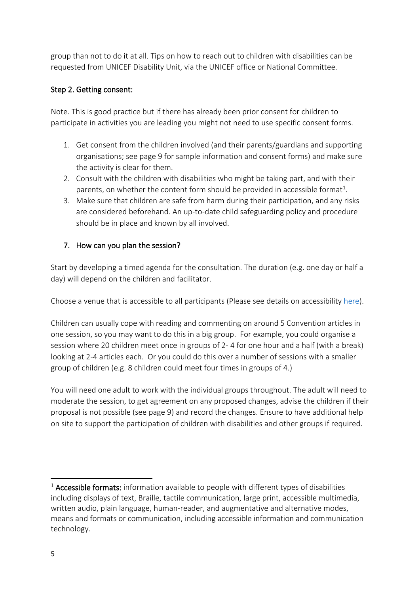group than not to do it at all. Tips on how to reach out to children with disabilities can be requested from UNICEF Disability Unit, via the UNICEF office or National Committee.

# Step 2. Getting consent:

Note. This is good practice but if there has already been prior consent for children to participate in activities you are leading you might not need to use specific consent forms.

- 1. Get consent from the children involved (and their parents/guardians and supporting organisations; see page 9 for sample information and consent forms) and make sure the activity is clear for them.
- 2. Consult with the children with disabilities who might be taking part, and with their parents, on whether the content form should be provided in accessible format<sup>1</sup>.
- 3. Make sure that children are safe from harm during their participation, and any risks are considered beforehand. An up-to-date child safeguarding policy and procedure should be in place and known by all involved.

# 7. How can you plan the session?

Start by developing a timed agenda for the consultation. The duration (e.g. one day or half a day) will depend on the children and facilitator.

Choose a venue that is accessible to all participants (Please see details on accessibility [here\)](https://www.unicef.org/disabilities/index_90418.html).

Children can usually cope with reading and commenting on around 5 Convention articles in one session, so you may want to do this in a big group. For example, you could organise a session where 20 children meet once in groups of 2- 4 for one hour and a half (with a break) looking at 2-4 articles each. Or you could do this over a number of sessions with a smaller group of children (e.g. 8 children could meet four times in groups of 4.)

You will need one adult to work with the individual groups throughout. The adult will need to moderate the session, to get agreement on any proposed changes, advise the children if their proposal is not possible (see page 9) and record the changes. Ensure to have additional help on site to support the participation of children with disabilities and other groups if required.

 $1$  Accessible formats: information available to people with different types of disabilities including displays of text, Braille, tactile communication, large print, accessible multimedia, written audio, plain language, human-reader, and augmentative and alternative modes, means and formats or communication, including accessible information and communication technology.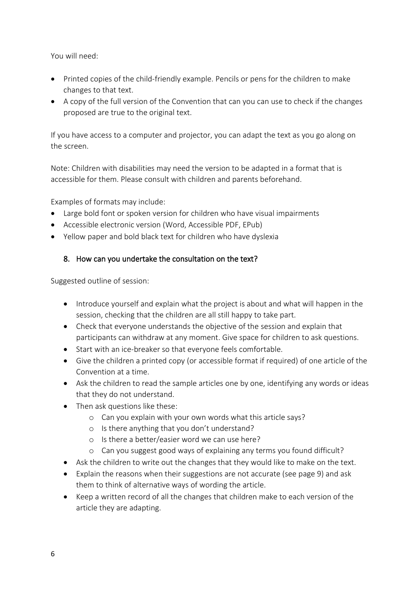You will need:

- Printed copies of the child-friendly example. Pencils or pens for the children to make changes to that text.
- A copy of the full version of the Convention that can you can use to check if the changes proposed are true to the original text.

If you have access to a computer and projector, you can adapt the text as you go along on the screen.

Note: Children with disabilities may need the version to be adapted in a format that is accessible for them. Please consult with children and parents beforehand.

Examples of formats may include:

- Large bold font or spoken version for children who have visual impairments
- Accessible electronic version (Word, Accessible PDF, EPub)
- Yellow paper and bold black text for children who have dyslexia

## 8. How can you undertake the consultation on the text?

Suggested outline of session:

- Introduce yourself and explain what the project is about and what will happen in the session, checking that the children are all still happy to take part.
- Check that everyone understands the objective of the session and explain that participants can withdraw at any moment. Give space for children to ask questions.
- Start with an ice-breaker so that everyone feels comfortable.
- Give the children a printed copy (or accessible format if required) of one article of the Convention at a time.
- Ask the children to read the sample articles one by one, identifying any words or ideas that they do not understand.
- Then ask questions like these:
	- o Can you explain with your own words what this article says?
	- o Is there anything that you don't understand?
	- o Is there a better/easier word we can use here?
	- o Can you suggest good ways of explaining any terms you found difficult?
- Ask the children to write out the changes that they would like to make on the text.
- Explain the reasons when their suggestions are not accurate (see page 9) and ask them to think of alternative ways of wording the article.
- Keep a written record of all the changes that children make to each version of the article they are adapting.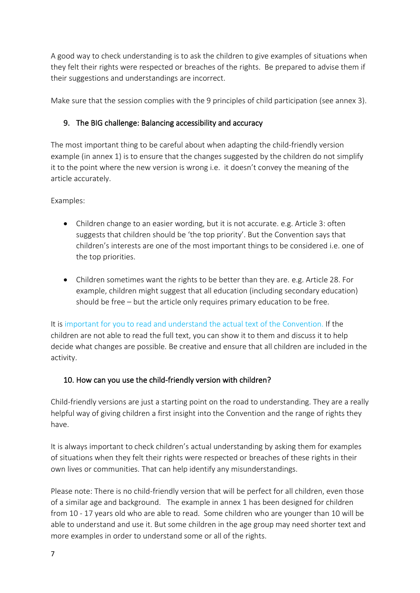A good way to check understanding is to ask the children to give examples of situations when they felt their rights were respected or breaches of the rights. Be prepared to advise them if their suggestions and understandings are incorrect.

Make sure that the session complies with the 9 principles of child participation (see annex 3).

# 9. The BIG challenge: Balancing accessibility and accuracy

The most important thing to be careful about when adapting the child-friendly version example (in annex 1) is to ensure that the changes suggested by the children do not simplify it to the point where the new version is wrong i.e. it doesn't convey the meaning of the article accurately.

Examples:

- Children change to an easier wording, but it is not accurate. e.g. Article 3: often suggests that children should be 'the top priority'. But the Convention says that children's interests are one of the most important things to be considered i.e. one of the top priorities.
- Children sometimes want the rights to be better than they are. e.g. Article 28. For example, children might suggest that all education (including secondary education) should be free – but the article only requires primary education to be free.

It is important for you to read and understand the actual text of the Convention. If the children are not able to read the full text, you can show it to them and discuss it to help decide what changes are possible. Be creative and ensure that all children are included in the activity.

# 10. How can you use the child-friendly version with children?

Child-friendly versions are just a starting point on the road to understanding. They are a really helpful way of giving children a first insight into the Convention and the range of rights they have.

It is always important to check children's actual understanding by asking them for examples of situations when they felt their rights were respected or breaches of these rights in their own lives or communities. That can help identify any misunderstandings.

Please note: There is no child-friendly version that will be perfect for all children, even those of a similar age and background. The example in annex 1 has been designed for children from 10 - 17 years old who are able to read. Some children who are younger than 10 will be able to understand and use it. But some children in the age group may need shorter text and more examples in order to understand some or all of the rights.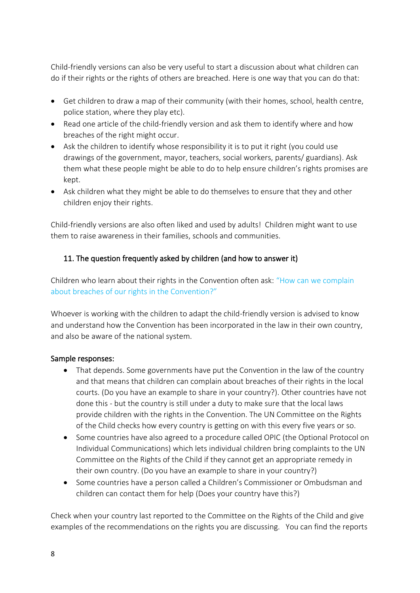Child-friendly versions can also be very useful to start a discussion about what children can do if their rights or the rights of others are breached. Here is one way that you can do that:

- Get children to draw a map of their community (with their homes, school, health centre, police station, where they play etc).
- Read one article of the child-friendly version and ask them to identify where and how breaches of the right might occur.
- Ask the children to identify whose responsibility it is to put it right (you could use drawings of the government, mayor, teachers, social workers, parents/ guardians). Ask them what these people might be able to do to help ensure children's rights promises are kept.
- Ask children what they might be able to do themselves to ensure that they and other children enjoy their rights.

Child-friendly versions are also often liked and used by adults! Children might want to use them to raise awareness in their families, schools and communities.

# 11. The question frequently asked by children (and how to answer it)

Children who learn about their rights in the Convention often ask: "How can we complain about breaches of our rights in the Convention?"

Whoever is working with the children to adapt the child-friendly version is advised to know and understand how the Convention has been incorporated in the law in their own country, and also be aware of the national system.

## Sample responses:

- That depends. Some governments have put the Convention in the law of the country and that means that children can complain about breaches of their rights in the local courts. (Do you have an example to share in your country?). Other countries have not done this - but the country is still under a duty to make sure that the local laws provide children with the rights in the Convention. The UN Committee on the Rights of the Child checks how every country is getting on with this every five years or so.
- Some countries have also agreed to a procedure called OPIC (the Optional Protocol on Individual Communications) which lets individual children bring complaints to the UN Committee on the Rights of the Child if they cannot get an appropriate remedy in their own country. (Do you have an example to share in your country?)
- Some countries have a person called a Children's Commissioner or Ombudsman and children can contact them for help (Does your country have this?)

Check when your country last reported to the Committee on the Rights of the Child and give examples of the recommendations on the rights you are discussing. You can find the reports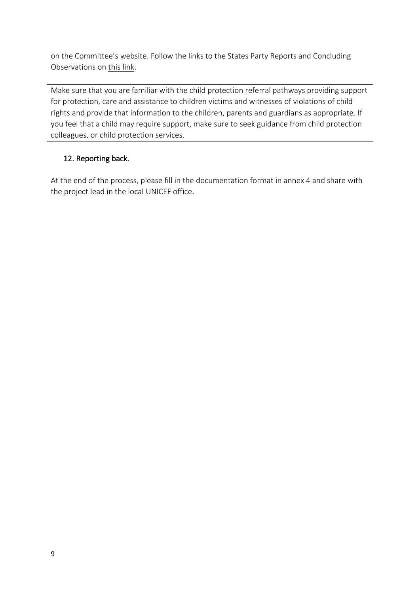on the Committee's website. Follow the links to the States Party Reports and Concluding Observations on [this link.](https://www.ohchr.org/EN/HRBodies/CRC/Pages/CRCIndex.aspx)

Make sure that you are familiar with the child protection referral pathways providing support for protection, care and assistance to children victims and witnesses of violations of child rights and provide that information to the children, parents and guardians as appropriate. If you feel that a child may require support, make sure to seek guidance from child protection colleagues, or child protection services.

# 12. Reporting back.

At the end of the process, please fill in the documentation format in annex 4 and share with the project lead in the local UNICEF office.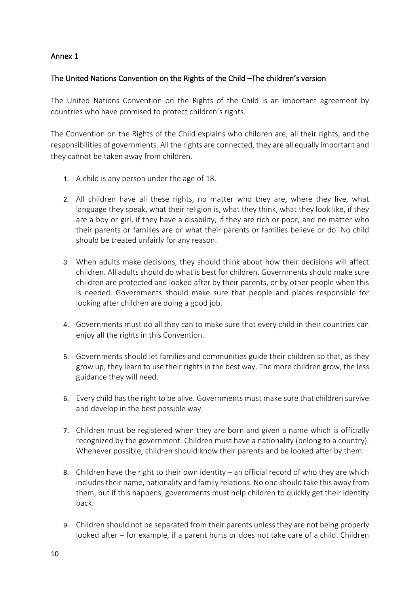## Annex 1

#### The United Nations Convention on the Rights of the Child –The children's version

The United Nations Convention on the Rights of the Child is an important agreement by countries who have promised to protect children's rights.

The Convention on the Rights of the Child explains who children are, all their rights, and the responsibilities of governments. All the rights are connected, they are all equally important and they cannot be taken away from children.

- 1. A child is any person under the age of 18.
- 2. All children have all these rights, no matter who they are, where they live, what language they speak, what their religion is, what they think, what they look like, if they are a boy or girl, if they have a disability, if they are rich or poor, and no matter who their parents or families are or what their parents or families believe or do. No child should be treated unfairly for any reason.
- 3. When adults make decisions, they should think about how their decisions will affect children. All adults should do what is best for children. Governments should make sure children are protected and looked after by their parents, or by other people when this is needed. Governments should make sure that people and places responsible for looking after children are doing a good job.
- 4. Governments must do all they can to make sure that every child in their countries can enjoy all the rights in this Convention.
- 5. Governments should let families and communities guide their children so that, as they grow up, they learn to use their rights in the best way. The more children grow, the less guidance they will need.
- 6. Every child has the right to be alive. Governments must make sure that children survive and develop in the best possible way.
- 7. Children must be registered when they are born and given a name which is officially recognized by the government. Children must have a nationality (belong to a country). Whenever possible, children should know their parents and be looked after by them.
- 8. Children have the right to their own identity an official record of who they are which includes their name, nationality and family relations. No one should take this away from them, but if this happens, governments must help children to quickly get their identity back.
- 9. Children should not be separated from their parents unless they are not being properly looked after – for example, if a parent hurts or does not take care of a child. Children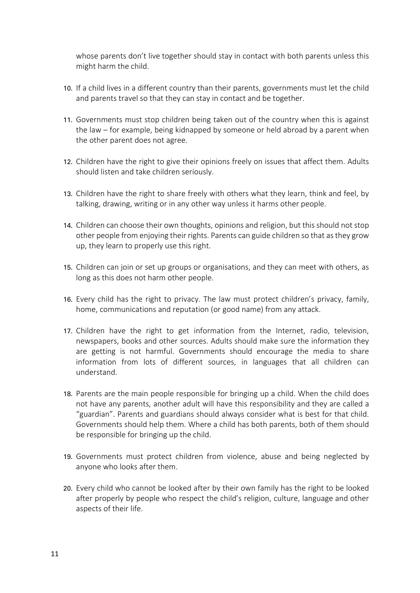whose parents don't live together should stay in contact with both parents unless this might harm the child.

- 10. If a child lives in a different country than their parents, governments must let the child and parents travel so that they can stay in contact and be together.
- 11. Governments must stop children being taken out of the country when this is against the law – for example, being kidnapped by someone or held abroad by a parent when the other parent does not agree.
- 12. Children have the right to give their opinions freely on issues that affect them. Adults should listen and take children seriously.
- 13. Children have the right to share freely with others what they learn, think and feel, by talking, drawing, writing or in any other way unless it harms other people.
- 14. Children can choose their own thoughts, opinions and religion, but this should not stop other people from enjoying their rights. Parents can guide children so that as they grow up, they learn to properly use this right.
- 15. Children can join or set up groups or organisations, and they can meet with others, as long as this does not harm other people.
- 16. Every child has the right to privacy. The law must protect children's privacy, family, home, communications and reputation (or good name) from any attack.
- 17. Children have the right to get information from the Internet, radio, television, newspapers, books and other sources. Adults should make sure the information they are getting is not harmful. Governments should encourage the media to share information from lots of different sources, in languages that all children can understand.
- 18. Parents are the main people responsible for bringing up a child. When the child does not have any parents, another adult will have this responsibility and they are called a "guardian". Parents and guardians should always consider what is best for that child. Governments should help them. Where a child has both parents, both of them should be responsible for bringing up the child.
- 19. Governments must protect children from violence, abuse and being neglected by anyone who looks after them.
- 20. Every child who cannot be looked after by their own family has the right to be looked after properly by people who respect the child's religion, culture, language and other aspects of their life.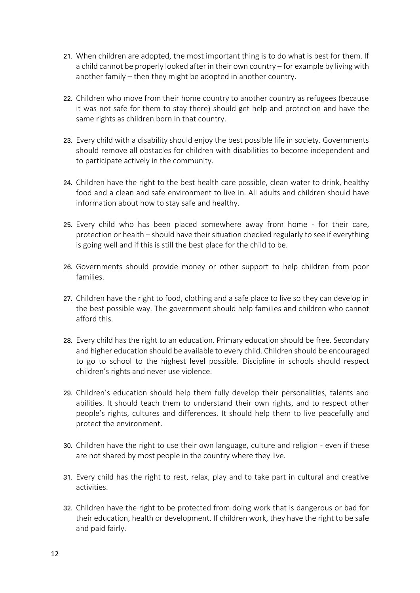- 21. When children are adopted, the most important thing is to do what is best for them. If a child cannot be properly looked after in their own country – for example by living with another family – then they might be adopted in another country.
- 22. Children who move from their home country to another country as refugees (because it was not safe for them to stay there) should get help and protection and have the same rights as children born in that country.
- 23. Every child with a disability should enjoy the best possible life in society. Governments should remove all obstacles for children with disabilities to become independent and to participate actively in the community.
- 24. Children have the right to the best health care possible, clean water to drink, healthy food and a clean and safe environment to live in. All adults and children should have information about how to stay safe and healthy.
- 25. Every child who has been placed somewhere away from home for their care, protection or health – should have their situation checked regularly to see if everything is going well and if this is still the best place for the child to be.
- 26. Governments should provide money or other support to help children from poor families.
- 27. Children have the right to food, clothing and a safe place to live so they can develop in the best possible way. The government should help families and children who cannot afford this.
- 28. Every child has the right to an education. Primary education should be free. Secondary and higher education should be available to every child. Children should be encouraged to go to school to the highest level possible. Discipline in schools should respect children's rights and never use violence.
- 29. Children's education should help them fully develop their personalities, talents and abilities. It should teach them to understand their own rights, and to respect other people's rights, cultures and differences. It should help them to live peacefully and protect the environment.
- 30. Children have the right to use their own language, culture and religion even if these are not shared by most people in the country where they live.
- 31. Every child has the right to rest, relax, play and to take part in cultural and creative activities.
- 32. Children have the right to be protected from doing work that is dangerous or bad for their education, health or development. If children work, they have the right to be safe and paid fairly.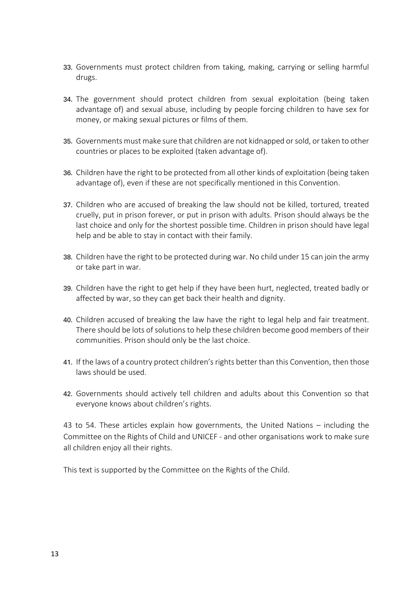- 33. Governments must protect children from taking, making, carrying or selling harmful drugs.
- 34. The government should protect children from sexual exploitation (being taken advantage of) and sexual abuse, including by people forcing children to have sex for money, or making sexual pictures or films of them.
- 35. Governments must make sure that children are not kidnapped or sold, or taken to other countries or places to be exploited (taken advantage of).
- 36. Children have the right to be protected from all other kinds of exploitation (being taken advantage of), even if these are not specifically mentioned in this Convention.
- 37. Children who are accused of breaking the law should not be killed, tortured, treated cruelly, put in prison forever, or put in prison with adults. Prison should always be the last choice and only for the shortest possible time. Children in prison should have legal help and be able to stay in contact with their family.
- 38. Children have the right to be protected during war. No child under 15 can join the army or take part in war.
- 39. Children have the right to get help if they have been hurt, neglected, treated badly or affected by war, so they can get back their health and dignity.
- 40. Children accused of breaking the law have the right to legal help and fair treatment. There should be lots of solutions to help these children become good members of their communities. Prison should only be the last choice.
- 41. If the laws of a country protect children's rights better than this Convention, then those laws should be used.
- 42. Governments should actively tell children and adults about this Convention so that everyone knows about children's rights.

43 to 54. These articles explain how governments, the United Nations – including the Committee on the Rights of Child and UNICEF - and other organisations work to make sure all children enjoy all their rights.

This text is supported by the Committee on the Rights of the Child.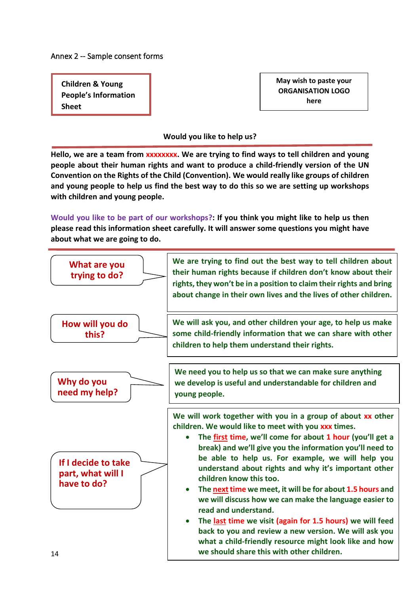#### Annex 2 -- Sample consent forms

**Children & Young People's Information Sheet**

**May wish to paste your ORGANISATION LOGO here**

**Would you like to help us?**

**Hello, we are a team from xxxxxxxx. We are trying to find ways to tell children and young people about their human rights and want to produce a child-friendly version of the UN Convention on the Rights of the Child (Convention). We would really like groups of children and young people to help us find the best way to do this so we are setting up workshops with children and young people.**

**Would you like to be part of our workshops?: If you think you might like to help us then please read this information sheet carefully. It will answer some questions you might have about what we are going to do.**

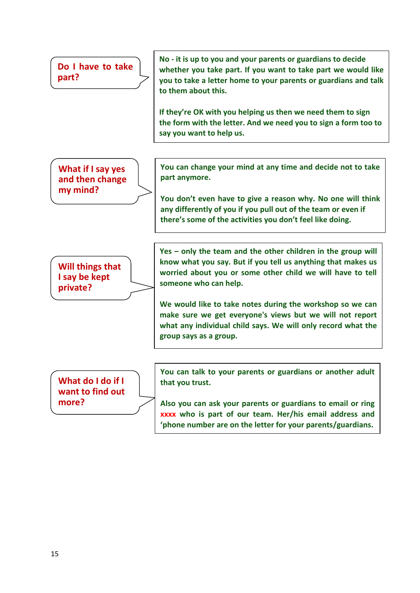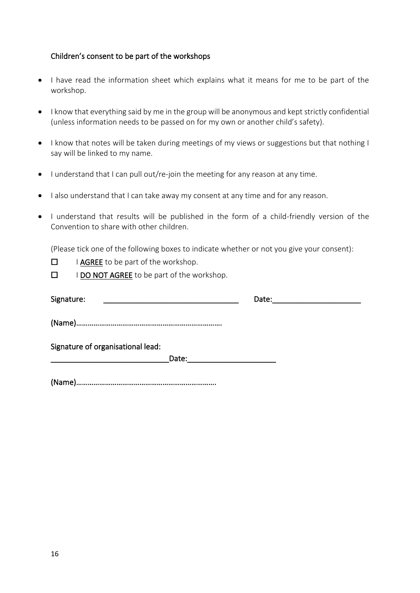#### Children's consent to be part of the workshops

- I have read the information sheet which explains what it means for me to be part of the workshop.
- I know that everything said by me in the group will be anonymous and kept strictly confidential (unless information needs to be passed on for my own or another child's safety).
- I know that notes will be taken during meetings of my views or suggestions but that nothing I say will be linked to my name.
- I understand that I can pull out/re-join the meeting for any reason at any time.
- I also understand that I can take away my consent at any time and for any reason.
- I understand that results will be published in the form of a child-friendly version of the Convention to share with other children.

(Please tick one of the following boxes to indicate whether or not you give your consent):

- ☐ I AGREE to be part of the workshop.
- ☐ I DO NOT AGREE to be part of the workshop.

| Signature: |                                   | Date: |  |
|------------|-----------------------------------|-------|--|
|            |                                   |       |  |
|            | Signature of organisational lead: |       |  |
|            | Date:                             |       |  |
|            |                                   |       |  |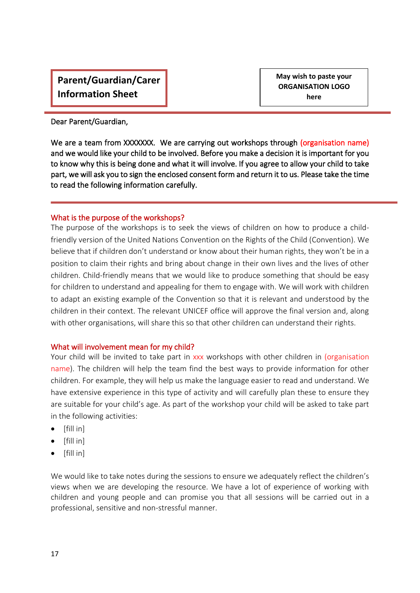# **Parent/Guardian/Carer Information Sheet**

**May wish to paste your ORGANISATION LOGO here**

Dear Parent/Guardian,

l,

We are a team from XXXXXXX. We are carrying out workshops through (organisation name) and we would like your child to be involved. Before you make a decision it is important for you to know why this is being done and what it will involve. If you agree to allow your child to take part, we will ask you to sign the enclosed consent form and return it to us. Please take the time to read the following information carefully.

#### What is the purpose of the workshops?

The purpose of the workshops is to seek the views of children on how to produce a childfriendly version of the United Nations Convention on the Rights of the Child (Convention). We believe that if children don't understand or know about their human rights, they won't be in a position to claim their rights and bring about change in their own lives and the lives of other children. Child-friendly means that we would like to produce something that should be easy for children to understand and appealing for them to engage with. We will work with children to adapt an existing example of the Convention so that it is relevant and understood by the children in their context. The relevant UNICEF office will approve the final version and, along with other organisations, will share this so that other children can understand their rights.

#### What will involvement mean for my child?

Your child will be invited to take part in xxx workshops with other children in (organisation name). The children will help the team find the best ways to provide information for other children. For example, they will help us make the language easier to read and understand. We have extensive experience in this type of activity and will carefully plan these to ensure they are suitable for your child's age. As part of the workshop your child will be asked to take part in the following activities:

- [fill in]
- $\bullet$  [fill in]
- $\bullet$  [fill in]

We would like to take notes during the sessions to ensure we adequately reflect the children's views when we are developing the resource. We have a lot of experience of working with children and young people and can promise you that all sessions will be carried out in a professional, sensitive and non-stressful manner.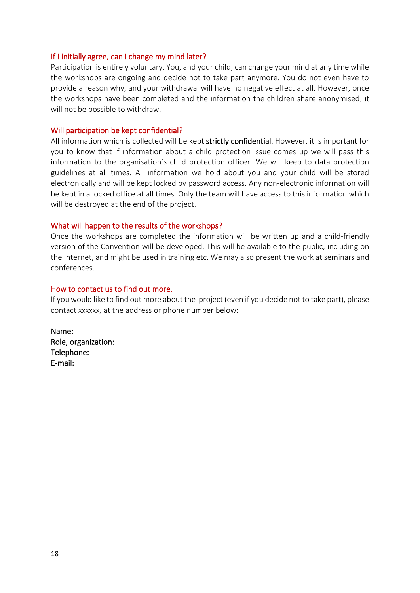#### If I initially agree, can I change my mind later?

Participation is entirely voluntary. You, and your child, can change your mind at any time while the workshops are ongoing and decide not to take part anymore. You do not even have to provide a reason why, and your withdrawal will have no negative effect at all. However, once the workshops have been completed and the information the children share anonymised, it will not be possible to withdraw.

#### Will participation be kept confidential?

All information which is collected will be kept strictly confidential. However, it is important for you to know that if information about a child protection issue comes up we will pass this information to the organisation's child protection officer. We will keep to data protection guidelines at all times. All information we hold about you and your child will be stored electronically and will be kept locked by password access. Any non-electronic information will be kept in a locked office at all times. Only the team will have access to this information which will be destroyed at the end of the project.

#### What will happen to the results of the workshops?

Once the workshops are completed the information will be written up and a child-friendly version of the Convention will be developed. This will be available to the public, including on the Internet, and might be used in training etc. We may also present the work at seminars and conferences.

#### How to contact us to find out more.

If you would like to find out more about the project (even if you decide not to take part), please contact xxxxxx, at the address or phone number below:

Name: Role, organization: Telephone: E-mail: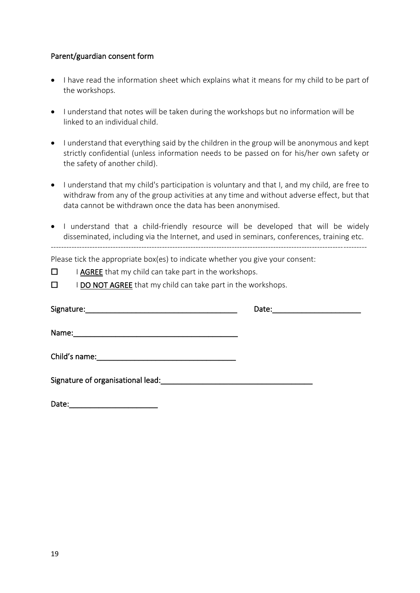#### Parent/guardian consent form

- I have read the information sheet which explains what it means for my child to be part of the workshops.
- I understand that notes will be taken during the workshops but no information will be linked to an individual child.
- I understand that everything said by the children in the group will be anonymous and kept strictly confidential (unless information needs to be passed on for his/her own safety or the safety of another child).
- I understand that my child's participation is voluntary and that I, and my child, are free to withdraw from any of the group activities at any time and without adverse effect, but that data cannot be withdrawn once the data has been anonymised.
- I understand that a child-friendly resource will be developed that will be widely disseminated, including via the Internet, and used in seminars, conferences, training etc.

--------------------------------------------------------------------------------------------------------------------------

Please tick the appropriate box(es) to indicate whether you give your consent:

- ☐ I AGREE that my child can take part in the workshops.
- ☐ I DO NOT AGREE that my child can take part in the workshops.

| Signature of organisational lead: National Research Contract of Contract Contract of Contract Contract Contract Contract Contract Contract Contract Contract Contract Contract Contract Contract Contract Contract Contract Co |  |
|--------------------------------------------------------------------------------------------------------------------------------------------------------------------------------------------------------------------------------|--|
| Date:                                                                                                                                                                                                                          |  |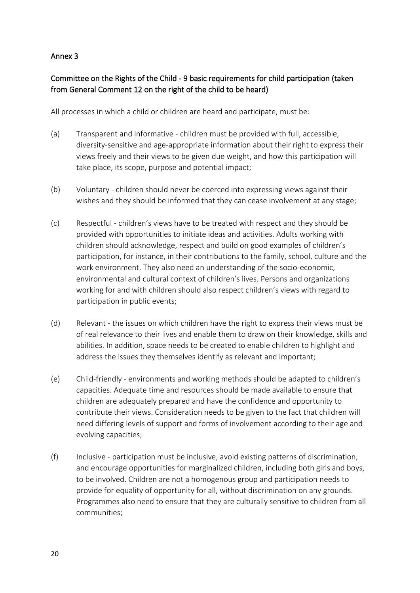## Annex 3

# Committee on the Rights of the Child - 9 basic requirements for child participation (taken from General Comment 12 on the right of the child to be heard)

All processes in which a child or children are heard and participate, must be:

- (a) Transparent and informative children must be provided with full, accessible, diversity-sensitive and age-appropriate information about their right to express their views freely and their views to be given due weight, and how this participation will take place, its scope, purpose and potential impact;
- (b) Voluntary children should never be coerced into expressing views against their wishes and they should be informed that they can cease involvement at any stage;
- (c) Respectful children's views have to be treated with respect and they should be provided with opportunities to initiate ideas and activities. Adults working with children should acknowledge, respect and build on good examples of children's participation, for instance, in their contributions to the family, school, culture and the work environment. They also need an understanding of the socio-economic, environmental and cultural context of children's lives. Persons and organizations working for and with children should also respect children's views with regard to participation in public events;
- (d) Relevant the issues on which children have the right to express their views must be of real relevance to their lives and enable them to draw on their knowledge, skills and abilities. In addition, space needs to be created to enable children to highlight and address the issues they themselves identify as relevant and important;
- (e) Child-friendly environments and working methods should be adapted to children's capacities. Adequate time and resources should be made available to ensure that children are adequately prepared and have the confidence and opportunity to contribute their views. Consideration needs to be given to the fact that children will need differing levels of support and forms of involvement according to their age and evolving capacities;
- (f) Inclusive participation must be inclusive, avoid existing patterns of discrimination, and encourage opportunities for marginalized children, including both girls and boys, to be involved. Children are not a homogenous group and participation needs to provide for equality of opportunity for all, without discrimination on any grounds. Programmes also need to ensure that they are culturally sensitive to children from all communities;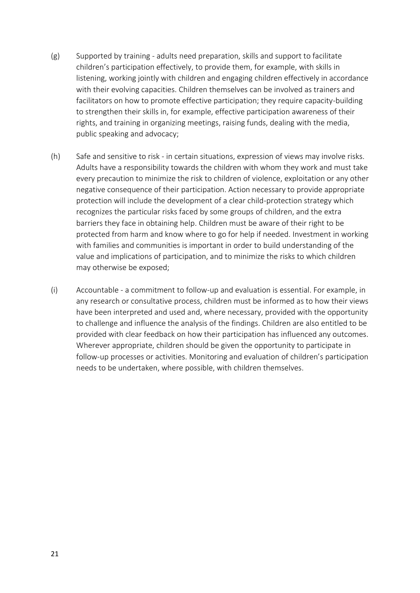- (g) Supported by training adults need preparation, skills and support to facilitate children's participation effectively, to provide them, for example, with skills in listening, working jointly with children and engaging children effectively in accordance with their evolving capacities. Children themselves can be involved as trainers and facilitators on how to promote effective participation; they require capacity-building to strengthen their skills in, for example, effective participation awareness of their rights, and training in organizing meetings, raising funds, dealing with the media, public speaking and advocacy;
- (h) Safe and sensitive to risk in certain situations, expression of views may involve risks. Adults have a responsibility towards the children with whom they work and must take every precaution to minimize the risk to children of violence, exploitation or any other negative consequence of their participation. Action necessary to provide appropriate protection will include the development of a clear child-protection strategy which recognizes the particular risks faced by some groups of children, and the extra barriers they face in obtaining help. Children must be aware of their right to be protected from harm and know where to go for help if needed. Investment in working with families and communities is important in order to build understanding of the value and implications of participation, and to minimize the risks to which children may otherwise be exposed;
- (i) Accountable a commitment to follow-up and evaluation is essential. For example, in any research or consultative process, children must be informed as to how their views have been interpreted and used and, where necessary, provided with the opportunity to challenge and influence the analysis of the findings. Children are also entitled to be provided with clear feedback on how their participation has influenced any outcomes. Wherever appropriate, children should be given the opportunity to participate in follow-up processes or activities. Monitoring and evaluation of children's participation needs to be undertaken, where possible, with children themselves.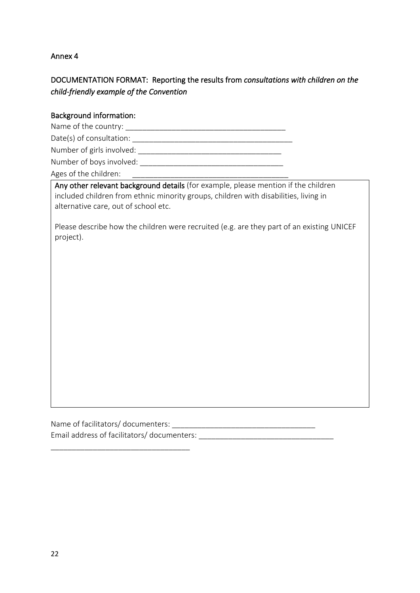#### Annex 4

# DOCUMENTATION FORMAT: Reporting the results from *consultations with children on the child-friendly example of the Convention*

#### Background information:

Name of the country: \_\_\_\_\_\_\_\_\_\_\_\_\_\_\_\_\_\_\_\_\_\_\_\_\_\_\_\_\_\_\_\_\_\_\_\_\_\_

Date(s) of consultation: \_\_\_\_\_\_\_\_\_\_\_\_\_\_\_\_\_\_\_\_\_\_\_\_\_\_\_\_\_\_\_\_\_\_\_\_\_\_

Number of girls involved: \_\_\_\_\_\_\_\_\_\_\_\_\_\_\_\_\_\_\_\_\_\_\_\_\_\_\_\_\_\_\_\_\_\_

Number of boys involved: \_\_\_\_\_\_\_\_\_\_\_\_\_\_\_\_\_\_\_\_\_\_\_\_\_\_\_\_\_\_\_\_\_\_

Ages of the children:

Any other relevant background details (for example, please mention if the children included children from ethnic minority groups, children with disabilities, living in alternative care, out of school etc.

Please describe how the children were recruited (e.g. are they part of an existing UNICEF project).

Name of facilitators/ documenters: Email address of facilitators/ documenters: \_\_\_\_\_\_\_\_\_\_\_\_\_\_\_\_\_\_\_\_\_\_\_\_\_\_\_\_\_\_\_\_

\_\_\_\_\_\_\_\_\_\_\_\_\_\_\_\_\_\_\_\_\_\_\_\_\_\_\_\_\_\_\_\_\_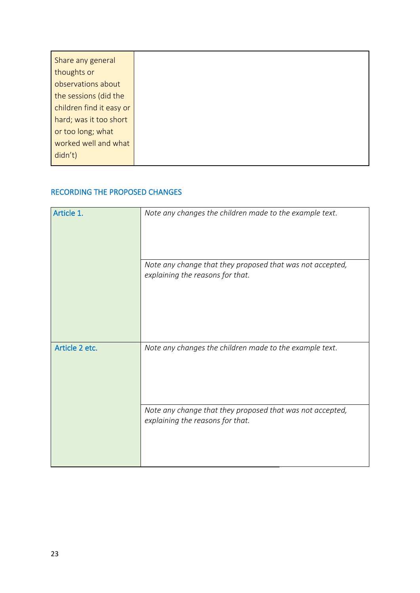| Share any general        |
|--------------------------|
| thoughts or              |
| observations about       |
| the sessions (did the    |
| children find it easy or |
| hard; was it too short   |
| or too long; what        |
| worked well and what     |
| didn't)                  |

# RECORDING THE PROPOSED CHANGES

| Article 1.     | Note any changes the children made to the example text.<br>Note any change that they proposed that was not accepted,<br>explaining the reasons for that. |
|----------------|----------------------------------------------------------------------------------------------------------------------------------------------------------|
| Article 2 etc. | Note any changes the children made to the example text.                                                                                                  |
|                | Note any change that they proposed that was not accepted,<br>explaining the reasons for that.                                                            |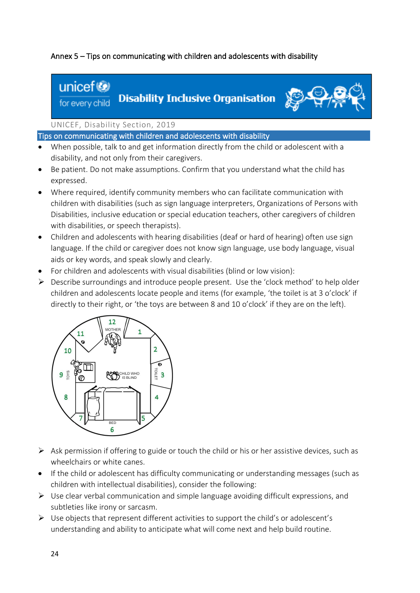## Annex 5 – Tips on communicating with children and adolescents with disability



#### UNICEF, Disability Section, 2019

Tips on communicating with children and adolescents with disability

- When possible, talk to and get information directly from the child or adolescent with a disability, and not only from their caregivers.
- Be patient. Do not make assumptions. Confirm that you understand what the child has expressed.
- Where required, identify community members who can facilitate communication with children with disabilities (such as sign language interpreters, Organizations of Persons with Disabilities, inclusive education or special education teachers, other caregivers of children with disabilities, or speech therapists).
- Children and adolescents with hearing disabilities (deaf or hard of hearing) often use sign language. If the child or caregiver does not know sign language, use body language, visual aids or key words, and speak slowly and clearly.
- For children and adolescents with visual disabilities (blind or low vision):
- ➢ Describe surroundings and introduce people present. Use the 'clock method' to help older children and adolescents locate people and items (for example, 'the toilet is at 3 o'clock' if directly to their right, or 'the toys are between 8 and 10 o'clock' if they are on the left).



- $\triangleright$  Ask permission if offering to guide or touch the child or his or her assistive devices, such as wheelchairs or white canes.
- If the child or adolescent has difficulty communicating or understanding messages (such as children with intellectual disabilities), consider the following:
- $\triangleright$  Use clear verbal communication and simple language avoiding difficult expressions, and subtleties like irony or sarcasm.
- $\triangleright$  Use objects that represent different activities to support the child's or adolescent's understanding and ability to anticipate what will come next and help build routine.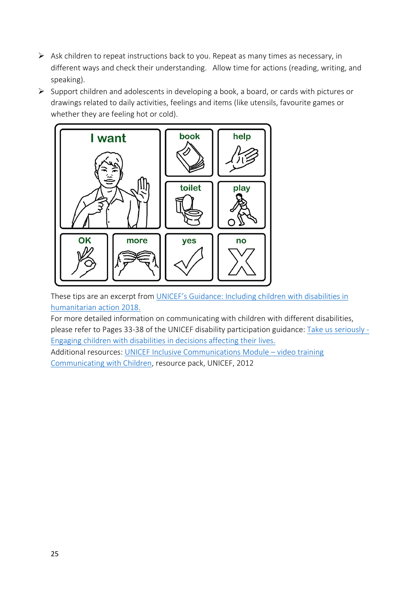- ➢ Ask children to repeat instructions back to you. Repeat as many times as necessary, in different ways and check their understanding. Allow time for actions (reading, writing, and speaking).
- ➢ Support children and adolescents in developing a book, a board, or cards with pictures or drawings related to daily activities, feelings and items (like utensils, favourite games or whether they are feeling hot or cold).



These tips are an excerpt from [UNICEF's Guidance: Including children with disabilities in](http://training.unicef.org/disability/emergencies/downloads/UNICEF_General_Guidance_English.pdf)  [humanitarian action 2018.](http://training.unicef.org/disability/emergencies/downloads/UNICEF_General_Guidance_English.pdf) 

For more detailed information on communicating with children with different disabilities, please refer to Pages 33-38 of the UNICEF disability participation guidance: [Take us seriously -](https://www.unicef.org/disabilities/files/Take_Us_Seriously.pdf) [Engaging children with disabilities in decisions affecting their lives.](https://www.unicef.org/disabilities/files/Take_Us_Seriously.pdf) Additional resources: [UNICEF Inclusive Communications Module](https://www.unicef.org/disabilities/index_90418.html) – video training

[Communicating with Children,](https://www.unicef.org/cwc/) resource pack, UNICEF, 2012